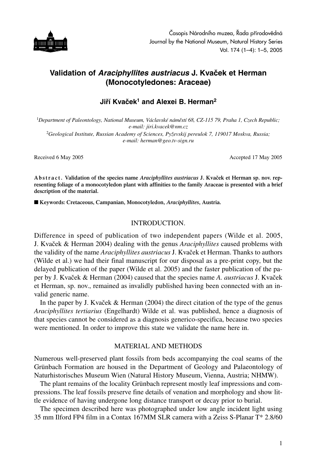

# **Validation of** *Araciphyllites austriacus* **J. Kvaček et Herman (Monocotyledones: Araceae)**

# **Jiří Kvaček1 and Alexei B. Herman2**

<sup>1</sup>*Department of Paleontology, National Museum, Václavské náměstí 68, CZ-115 79, Praha 1, Czech Republic; e-mail: jiri.kvacek@nm.cz* <sup>2</sup>*Geological Institute, Russian Academy of Sciences, Pyževskij pereulok 7, 119017 Moskva, Russia; e-mail: herman@geo.tv-sign.ru*

Received 6 May 2005 **Accepted 17 May 2005** Accepted 17 May 2005

**Abstract. Validation of the species name** *Araciphyllites austriacus* **J. Kvaček et Herman sp. nov. representing foliage of a monocotyledon plant with affinities to the family Araceae is presented with a brief description of the material.** 

■ Keywords: Cretaceous, Campanian, Monocotyledon, *Araciphyllites*, Austria.

### INTRODUCTION.

Difference in speed of publication of two independent papers (Wilde et al. 2005, J. Kvaček & Herman 2004) dealing with the genus *Araciphyllites* caused problems with the validity of the name *Araciphyllites austriacus* J. Kvaček et Herman. Thanks to authors (Wilde et al.) we had their final manuscript for our disposal as a pre-print copy, but the delayed publication of the paper (Wilde et al. 2005) and the faster publication of the paper by J. Kvaček & Herman (2004) caused that the species name *A. austriacus* J. Kvaček et Herman, sp. nov., remained as invalidly published having been connected with an invalid generic name.

In the paper by J. Kvaček & Herman (2004) the direct citation of the type of the genus *Araciphyllites tertiarius* (Engelhardt) Wilde et al. was published, hence a diagnosis of that species cannot be considered as a diagnosis generico-specifica, because two species were mentioned. In order to improve this state we validate the name here in.

#### MATERIAL AND METHODS

Numerous well-preserved plant fossils from beds accompanying the coal seams of the Grünbach Formation are housed in the Department of Geology and Palaeontology of Naturhistorisches Museum Wien (Natural History Museum, Vienna, Austria; NHMW).

The plant remains of the locality Grünbach represent mostly leaf impressions and compressions. The leaf fossils preserve fine details of venation and morphology and show little evidence of having undergone long distance transport or decay prior to burial.

The specimen described here was photographed under low angle incident light using 35 mm Ilford FP4 film in a Contax 167MM SLR camera with a Zeiss S-Planar T\* 2.8/60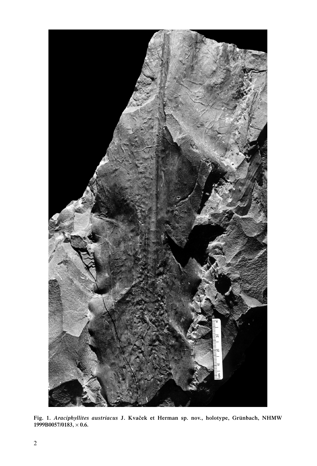

**Fig. 1.** *Araciphyllites austriacus* **J. Kvaček et Herman sp. nov., holotype, Grünbach, NHMW 1999B0057/0183,** × **0.6.**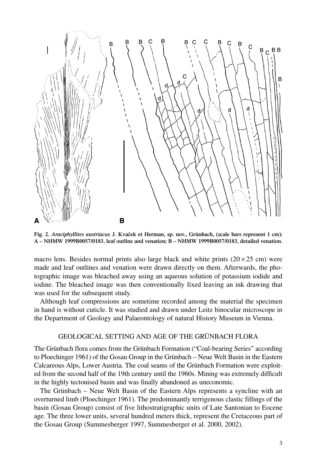

**Fig. 2.** *Araciphyllites austriacus* **J. Kvaček et Herman, sp. nov., Grünbach, (scale bars represent 1 cm): A – NHMW 1999B0057/0183, leaf outline and venation; B – NHMW 1999B0057/0183, detailed venation.**

macro lens. Besides normal prints also large black and white prints  $(20 \times 25 \text{ cm})$  were made and leaf outlines and venation were drawn directly on them. Afterwards, the photographic image was bleached away using an aqueous solution of potassium iodide and iodine. The bleached image was then conventionally fixed leaving an ink drawing that was used for the subsequent study.

Although leaf compressions are sometime recorded among the material the specimen in hand is without cuticle. It was studied and drawn under Leitz binocular microscope in the Department of Geology and Palaeontology of natural History Museum in Vienna.

## GEOLOGICAL SETTING AND AGE OF THE GRÜNBACH FLORA

The Grünbach flora comes from the Grünbach Formation ("Coal-bearing Series" according to Ploechinger 1961) of the Gosau Group in the Grünbach – Neue Welt Basin in the Eastern Calcareous Alps, Lower Austria. The coal seams of the Grünbach Formation were exploited from the second half of the 19th century until the 1960s. Mining was extremely difficult in the highly tectonised basin and was finally abandoned as uneconomic.

The Grünbach – Neue Welt Basin of the Eastern Alps represents a syncline with an overturned limb (Ploechinger 1961). The predominantly terrigenous clastic fillings of the basin (Gosau Group) consist of five lithostratigraphic units of Late Santonian to Eocene age. The three lower units, several hundred meters thick, represent the Cretaceous part of the Gosau Group (Summesberger 1997, Summesberger et al. 2000, 2002).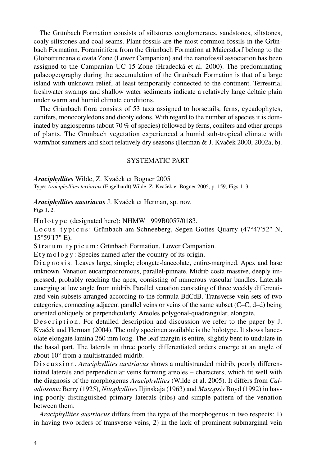The Grünbach Formation consists of siltstones conglomerates, sandstones, siltstones, coaly siltstones and coal seams. Plant fossils are the most common fossils in the Grünbach Formation. Foraminifera from the Grünbach Formation at Maiersdorf belong to the Globotruncana elevata Zone (Lower Campanian) and the nanofossil association has been assigned to the Campanian UC 15 Zone (Hradecká et al. 2000). The predominating palaeogeography during the accumulation of the Grünbach Formation is that of a large island with unknown relief, at least temporarily connected to the continent. Terrestrial freshwater swamps and shallow water sediments indicate a relatively large deltaic plain under warm and humid climate conditions.

The Grünbach flora consists of 53 taxa assigned to horsetails, ferns, cycadophytes, conifers, monocotyledons and dicotyledons. With regard to the number of species it is dominated by angiosperms (about 70 % of species) followed by ferns, conifers and other groups of plants. The Grünbach vegetation experienced a humid sub-tropical climate with warm/hot summers and short relatively dry seasons (Herman & J. Kvaček 2000, 2002a, b).

### SYSTEMATIC PART

*Araciphyllites* Wilde, Z. Kvaček et Bogner 2005

Type: *Araciphyllites tertiarius* (Engelhardt) Wilde, Z. Kvaček et Bogner 2005, p. 159, Figs 1–3.

*Araciphyllites austriacus* J. Kvaček et Herman, sp. nov. Figs 1, 2.

Holotype (designated here): NHMW 1999B0057/0183.

Locus typicus: Grünbach am Schneeberg, Segen Gottes Quarry (47°47'52" N, 15°59'17" E).

Stratum typicum: Grünbach Formation, Lower Campanian.

Etymology: Species named after the country of its origin.

Diagnosis. Leaves large, simple; elongate-lanceolate, entire-margined. Apex and base unknown. Venation eucamptodromous, parallel-pinnate. Midrib costa massive, deeply impressed, probably reaching the apex, consisting of numerous vascular bundles. Laterals emerging at low angle from midrib. Parallel venation consisting of three weekly differentiated vein subsets arranged according to the formula BdCdB. Transverse vein sets of two categories, connecting adjacent parallel veins or veins of the same subset (C–C, d–d) being oriented obliquely or perpendicularly. Areoles polygonal-quadrangular, elongate.

De scription. For detailed description and discussion we refer to the paper by J. Kvaček and Herman (2004). The only specimen available is the holotype. It shows lanceolate elongate lamina 260 mm long. The leaf margin is entire, slightly bent to undulate in the basal part. The laterals in three poorly differentiated orders emerge at an angle of about 10° from a multistranded midrib.

D is cussion. *Araciphyllites austriacus* shows a multistranded midrib, poorly differentiated laterals and perpendicular veins forming areoles – characters, which fit well with the diagnosis of the morphogenus *Araciphyllites* (Wilde et al. 2005). It differs from *Caladiosoma* Berry (1925), *Nitophyllites* Iljinskaja (1963) and *Musopsis* Boyd (1992) in having poorly distinguished primary laterals (ribs) and simple pattern of the venation between them.

*Araciphyllites austriacus* differs from the type of the morphogenus in two respects: 1) in having two orders of transverse veins, 2) in the lack of prominent submarginal vein